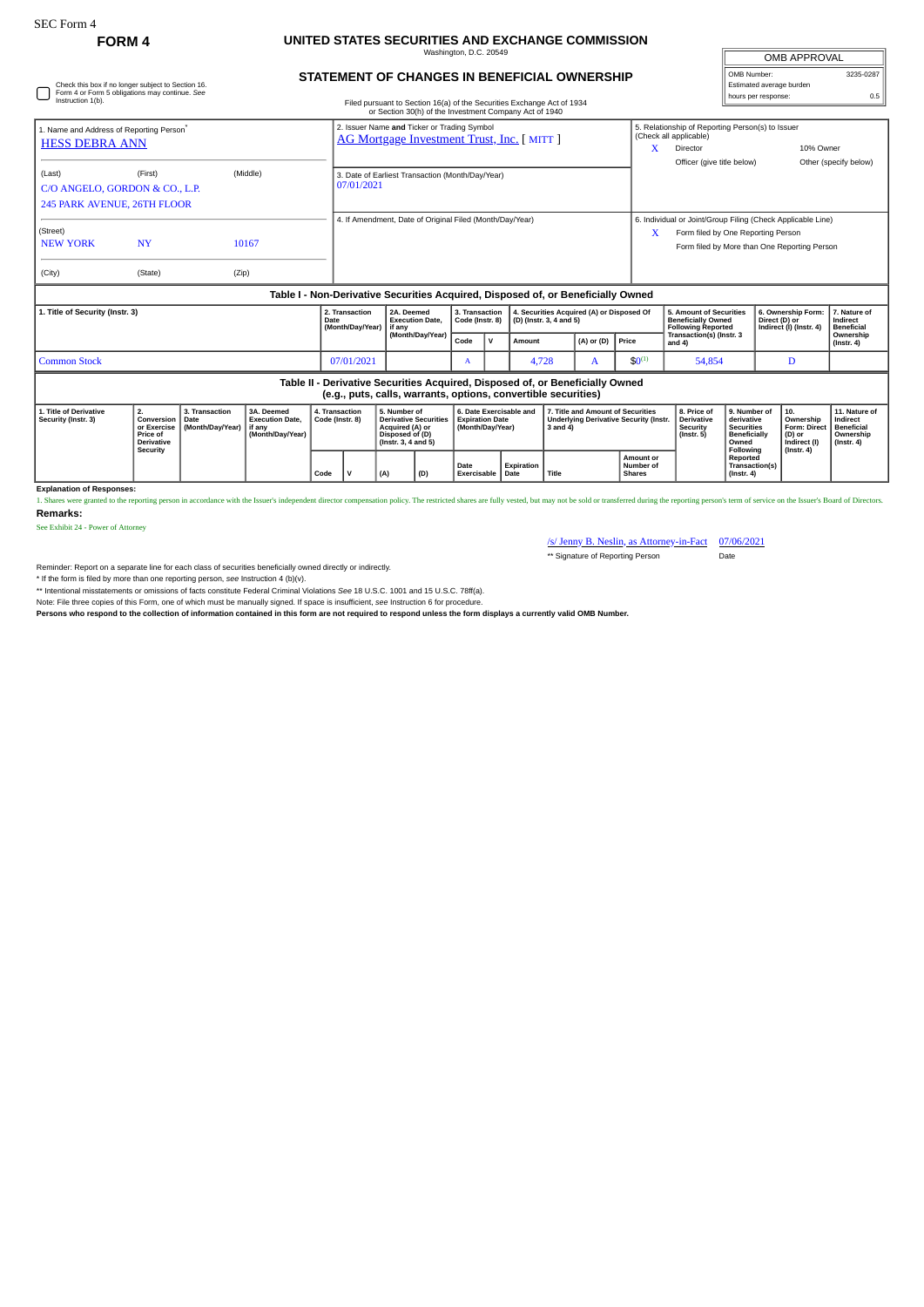## **FORM 4 UNITED STATES SECURITIES AND EXCHANGE COMMISSION** Washington, D.C. 20549

| Check this box if no longer subject to Section 16.<br>Form 4 or Form 5 obligations may continue. See<br>Instruction 1(b). |                                                                              |                                            |                                                                    |                                            | STATEMENT OF CHANGES IN BENEFICIAL OWNERSHIP                                                                                                    |                                            |              |                                                                      |                                                                                                     |                |       |                                                            |                                                                                                                                                        |                                                                                              |  | OMB Number:<br>Estimated average burden<br>hours per response:                        |                                                                                 |  |  |
|---------------------------------------------------------------------------------------------------------------------------|------------------------------------------------------------------------------|--------------------------------------------|--------------------------------------------------------------------|--------------------------------------------|-------------------------------------------------------------------------------------------------------------------------------------------------|--------------------------------------------|--------------|----------------------------------------------------------------------|-----------------------------------------------------------------------------------------------------|----------------|-------|------------------------------------------------------------|--------------------------------------------------------------------------------------------------------------------------------------------------------|----------------------------------------------------------------------------------------------|--|---------------------------------------------------------------------------------------|---------------------------------------------------------------------------------|--|--|
|                                                                                                                           |                                                                              |                                            |                                                                    |                                            | Filed pursuant to Section 16(a) of the Securities Exchange Act of 1934<br>or Section 30(h) of the Investment Company Act of 1940                |                                            |              |                                                                      |                                                                                                     |                |       |                                                            |                                                                                                                                                        |                                                                                              |  |                                                                                       | 0.5                                                                             |  |  |
| 1. Name and Address of Reporting Person <sup>®</sup><br><b>HESS DEBRA ANN</b>                                             |                                                                              |                                            |                                                                    |                                            | 2. Issuer Name and Ticker or Trading Symbol<br>AG Mortgage Investment Trust, Inc. [ MITT ]                                                      |                                            |              |                                                                      |                                                                                                     |                |       |                                                            | (Check all applicable)<br>Director<br>Officer (give title below)                                                                                       | 5. Relationship of Reporting Person(s) to Issuer                                             |  | 10% Owner                                                                             | Other (specify below)                                                           |  |  |
| (First)<br>(Middle)<br>(Last)<br>C/O ANGELO, GORDON & CO., L.P.<br>245 PARK AVENUE, 26TH FLOOR                            |                                                                              |                                            |                                                                    |                                            | 3. Date of Earliest Transaction (Month/Day/Year)<br>07/01/2021                                                                                  |                                            |              |                                                                      |                                                                                                     |                |       |                                                            |                                                                                                                                                        |                                                                                              |  |                                                                                       |                                                                                 |  |  |
| (Street)<br><b>NY</b><br><b>NEW YORK</b><br>10167                                                                         |                                                                              |                                            |                                                                    |                                            | 4. If Amendment, Date of Original Filed (Month/Day/Year)                                                                                        |                                            |              |                                                                      |                                                                                                     |                |       |                                                            | 6. Individual or Joint/Group Filing (Check Applicable Line)<br>x<br>Form filed by One Reporting Person<br>Form filed by More than One Reporting Person |                                                                                              |  |                                                                                       |                                                                                 |  |  |
| (City)                                                                                                                    | (State)                                                                      |                                            | (Zip)                                                              |                                            |                                                                                                                                                 |                                            |              |                                                                      |                                                                                                     |                |       |                                                            |                                                                                                                                                        |                                                                                              |  |                                                                                       |                                                                                 |  |  |
|                                                                                                                           |                                                                              |                                            |                                                                    |                                            | Table I - Non-Derivative Securities Acquired, Disposed of, or Beneficially Owned                                                                |                                            |              |                                                                      |                                                                                                     |                |       |                                                            |                                                                                                                                                        |                                                                                              |  |                                                                                       |                                                                                 |  |  |
| 1. Title of Security (Instr. 3)                                                                                           |                                                                              |                                            |                                                                    | 2. Transaction<br>Date<br>(Month/Dav/Year) | 2A. Deemed<br><b>Execution Date.</b><br>if anv                                                                                                  | 3. Transaction<br>Code (Instr. 8)          |              | 4. Securities Acquired (A) or Disposed Of<br>(D) (Instr. 3, 4 and 5) |                                                                                                     |                |       |                                                            |                                                                                                                                                        | 5. Amount of Securities<br><b>Beneficially Owned</b><br><b>Following Reported</b>            |  | 6. Ownership Form:<br>Direct (D) or<br>Indirect (I) (Instr. 4)                        | 7. Nature of<br>Indirect<br><b>Beneficial</b>                                   |  |  |
|                                                                                                                           |                                                                              |                                            |                                                                    |                                            | (Month/Day/Year)                                                                                                                                | Code                                       | $\mathsf{v}$ | Amount                                                               |                                                                                                     | $(A)$ or $(D)$ | Price |                                                            | Transaction(s) (Instr. 3<br>and 4)                                                                                                                     |                                                                                              |  |                                                                                       | Ownership<br>$($ Instr. 4 $)$                                                   |  |  |
| <b>Common Stock</b>                                                                                                       | 07/01/2021                                                                   |                                            | A                                                                  |                                            |                                                                                                                                                 | 4,728<br>A                                 |              | $$0^{(1)}$$                                                          |                                                                                                     | 54,854         |       | D                                                          |                                                                                                                                                        |                                                                                              |  |                                                                                       |                                                                                 |  |  |
|                                                                                                                           |                                                                              |                                            |                                                                    |                                            | Table II - Derivative Securities Acquired, Disposed of, or Beneficially Owned<br>(e.g., puts, calls, warrants, options, convertible securities) |                                            |              |                                                                      |                                                                                                     |                |       |                                                            |                                                                                                                                                        |                                                                                              |  |                                                                                       |                                                                                 |  |  |
| 1. Title of Derivative<br>Security (Instr. 3)                                                                             | 2.<br>Conversion<br>or Exercise<br>Price of<br><b>Derivative</b><br>Security | 3. Transaction<br>Date<br>(Month/Day/Year) | 3A. Deemed<br><b>Execution Date.</b><br>if any<br>(Month/Day/Year) | 4. Transaction<br>Code (Instr. 8)          | 5. Number of<br><b>Derivative Securities</b><br>Acquired (A) or<br>Disposed of (D)<br>(Instr. 3, 4 and 5)                                       | <b>Expiration Date</b><br>(Month/Day/Year) |              | 6. Date Exercisable and                                              | 7. Title and Amount of Securities<br><b>Underlying Derivative Security (Instr.</b><br>$3$ and $4$ ) |                |       | 8. Price of<br><b>Derivative</b><br>Security<br>(Instr. 5) |                                                                                                                                                        | 9. Number of<br>derivative<br><b>Securities</b><br><b>Beneficially</b><br>Owned<br>Following |  | 10.<br>Ownership<br><b>Form: Direct</b><br>(D) or<br>Indirect (I)<br>$($ lnstr. 4 $)$ | 11. Nature of<br>Indirect<br><b>Beneficial</b><br>Ownership<br>$($ Instr. 4 $)$ |  |  |

**Explanation of Responses:**<br>1. Shares were granted to the repo rting person in accordance with the Issuer's independent director compensation policy. The restricted shares are fully vested, but may not be sold or transferred during the reporting person's term of service on the Issuer' **Remarks:**

**Date Exercisable Expiration Date Title**

See Exhibit 24 - Power of Attorney

/s/ Jenny B. Neslin, as Attorney-in-Fact 07/06/2021 \*\* Signature of Reporting Person Date

**Amount or Number of Shares**

**Reported Transaction(s) (Instr. 4)**

OMB APPROVAL

I

Reminder: Report on a separate line for each class of securities beneficially owned directly or indirectly.

\* If the form is filed by more than one reporting person, *see* Instruction 4 (b)(v).

\*\* Intentional misstatements or omissions of facts constitute Federal Criminal Violations *See* 18 U.S.C. 1001 and 15 U.S.C. 78ff(a).

Note: File three copies of this Form, one of which must be manually signed. If space is insufficient, *see* Instruction 6 for procedure.

**Persons who respond to the collection of information contained in this form are not required to respond unless the form displays a currently valid OMB Number.**

**Code V (A) (D)**